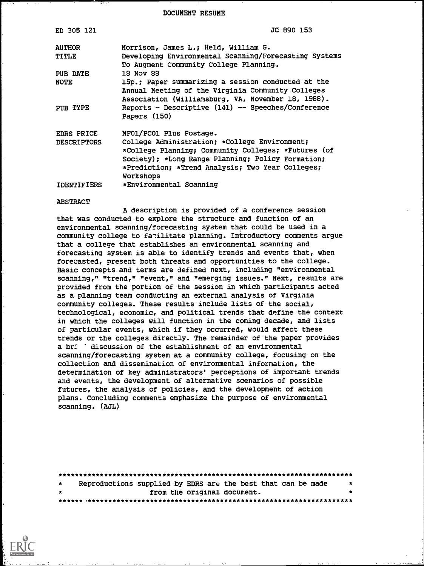DOCUMENT RESUME

| ED 305 121                    | JC 890 153                                                                                                                                                                                                                 |
|-------------------------------|----------------------------------------------------------------------------------------------------------------------------------------------------------------------------------------------------------------------------|
| <b>AUTHOR</b><br><b>TITLE</b> | Morrison, James L.; Held, William G.<br>Developing Environmental Scanning/Forecasting Systems                                                                                                                              |
| PUB DATE                      | To Augment Community College Planning.<br>18 Nov 88                                                                                                                                                                        |
| NOTE                          | 15p.; Paper summarizing a session conducted at the<br>Annual Meeting of the Virginia Community Colleges<br>Association (Williamsburg, VA, November 18, 1988).                                                              |
| PUB TYPE                      | Reports - Descriptive (141) -- Speeches/Conference<br>Papers (150)                                                                                                                                                         |
| EDRS PRICE                    | MFO1/PCO1 Plus Postage.                                                                                                                                                                                                    |
| <b>DESCRIPTORS</b>            | College Administration; *College Environment;<br>*College Planning; Community Colleges; *Futures (of<br>Society); *Long Range Planning; Policy Formation;<br>*Prediction; *Trend Analysis; Two Year Colleges;<br>Workshops |
| <b>IDENTIFIERS</b>            | *Environmental Scanning                                                                                                                                                                                                    |

#### ABSTRACT

A description is provided of a conference session that was conducted to explore the structure and function of an environmental scanning/forecasting system that could be used in a community college to fa-:ilitate planning. Introductory comments argue that a college that establishes an environmental scanning and forecasting system is able to identify trends and events that, when forecasted, present both threats and opportunities to the college. Basic concepts and terms are defined next, including "environmental scanning," "trend," "event," and "emerging issues." Next, results are provided from the portion of the session in which participants acted as a planning team conducting an external analysis of Virginia community colleges. These results include lists of the social, technological, economic, and political trends that define the context in which the colleges will function in the coming decade, and lists of particular events, which if they occurred, would affect these trends or the colleges directly. The remainder of the paper provides a bri discussion of the establishment of an environmental scanning/forecasting system at a community college, focusing on the collection and dissemination of environmental information, the determination of key administrators' perceptions of important trends and events, the development of alternative scenarios of possible futures, the analysis of policies, and the development of action plans. Concluding comments emphasize the purpose of environmental scanning. (AJL)

| $\star$ | Reproductions supplied by EDRS are the best that can be made |  |  |                             |  | $\star$   |  |  |  |
|---------|--------------------------------------------------------------|--|--|-----------------------------|--|-----------|--|--|--|
| $\star$ |                                                              |  |  | from the original document. |  | $\bullet$ |  |  |  |
|         |                                                              |  |  |                             |  |           |  |  |  |

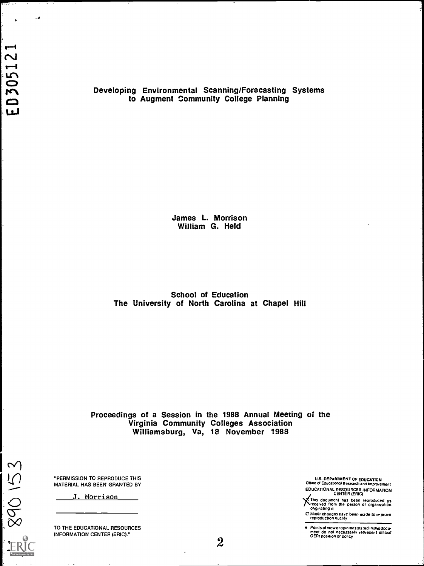$\bullet$ 

٠.,

Developing Environmental Scanning/Forecasting Systems to Augment Community College Planning

> James L. Morrison William G. Held

School of Education The University of North Carolina at Chapel Hill

Proceedings of a Session in the 1988 Annual Meeting of the Virginia Community Colleges Association Williamsburg, Va, 18 November 1988

"PERMISSION TO REPRODUCE THIS MATERIAL HAS BEEN GRANTED BY

J. Morrison

EC 890 153

TO THE EDUCATIONAL RESOURCES INFORMATION CENTER (ERIC)."

U.S. DEPARTMENT OF EDUCATION Office of Educattoosi Research and improvement EDUCATIONAL RESOURCES INFORMATION CENTER (ERIC)

X: This document has been reproduced as<br>received from the person or organization<br>originating it.

C Minor changes have been made to improve<br>reproduction quality

 $\bullet$ Points of view or opinions stated in this doctr ment do not necessarily represent official OERI position or policy

 $2\overline{2}$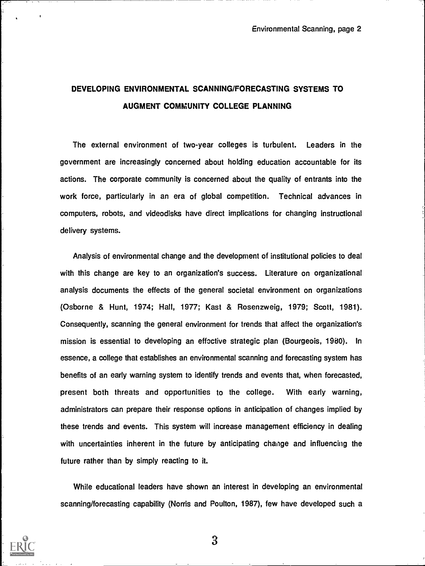# DEVELOPING ENVIRONMENTAL SCANNING/FORECASTING SYSTEMS TO AUGMENT COMMUNITY COLLEGE PLANNING

The external environment of two-year colleges is turbulent. Leaders in the government are increasingly concerned about holding education accountable for its actions. The corporate community is concerned about the quality of entrants into the work force, particularly in an era of global competition. Technical advances in computers, robots, and videodisks have direct implications for changing instructional delivery systems.

Analysis of environmental change and the development of institutional policies to deal with this change are key to an organization's success. Literature on organizational analysis documents the effects of the general societal environment on organizations (Osborne & Hunt, 1974; Hall, 1977; Kast & Rosenzweig, 1979; Scott, 1981). Consequently, scanning the general environment for trends that affect the organization's mission is essential to developing an effective strategic plan (Bourgeois, 1980). In essence, a college that establishes an environmental scanning and forecasting system has benefits of an early warning system to identify trends and events that, when forecasted, present both threats and opportunities to the college. With early warning, administrators can prepare their response options in anticipation of changes implied by these trends and events. This system will increase management efficiency in dealing with uncertainties inherent in the future by anticipating change and influencing the future rather than by simply reacting to it.

While educational leaders have shown an interest in developing an environmental scanning/forecasting capability (Norris and Poulton, 1987), few have developed such a

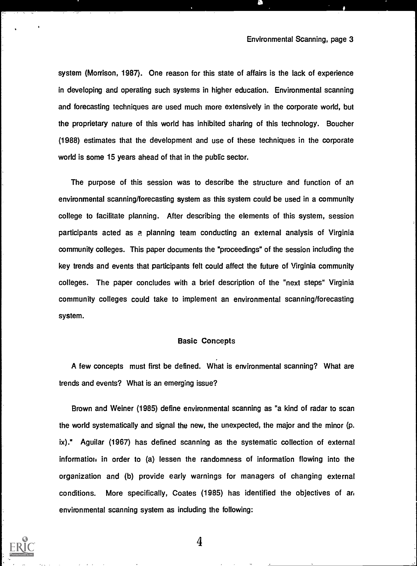system (Morrison, 1987). One reason for this state of affairs is the lack of experience in developing and operating such systems in higher education. Environmental scanning and forecasting techniques are used much more extensively in the corporate world, but the proprietary nature of this world has inhibited sharing of this technology. Boucher (1988) estimates that the development and use of these techniques in the corporate world is some 15 years ahead of that in the public sector.

The purpose of this session was to describe the structure and function of an environmental scanning/forecasting system as this system could be used in a community college to facilitate planning. After describing the elements of this system, session participants acted as a planning team conducting an external analysis of Virginia community colleges. This paper documents the "proceedings" of the session including the key trends and events that participants felt could affect the future of Virginia community colleges. The paper concludes with a brief description of the "next steps" Virginia community colleges could take to implement an environmental scanning/forecasting system.

### Basic Concepts

A few concepts must first be defined. What is environmental scanning? What are trends and events? What is an emerging issue?

Brown and Weiner (1985) define environmental scanning as "a kind of radar to scan the world systematically and signal the new, the unexpected, the major and the minor (p. ix)." Aguilar (1967) has defined scanning as the systematic collection of external information in order to (a) lessen the randomness of information flowing into the organization and (b) provide early warnings for managers of changing external conditions. More specifically, Coates (1985) has identified the objectives of an environmental scanning system as including the following: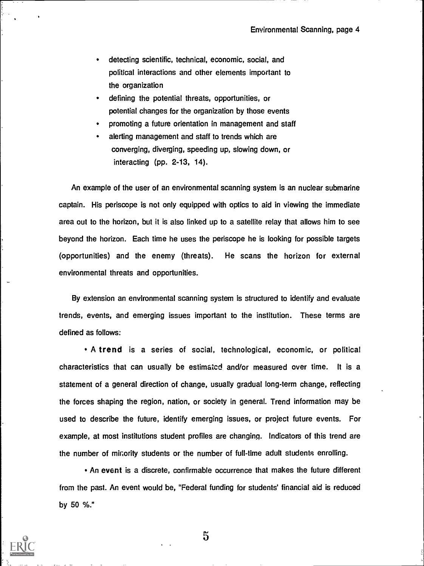- detecting scientific, technical, economic, social, and political interactions and other elements important to the organization
- defining the potential threats, opportunities, or potential changes for the organization by those events
- promoting a future orientation in management and staff
- alerting management and staff to trends which are converging, diverging, speeding up, slowing down, or interacting (pp. 2-13, 14).

An example of the user of an environmental scanning system is an nuclear submarine captain. His periscope is not only equipped with optics to aid in viewing the immediate area out to the horizon, but it is also linked up to a satellite relay that allows him to see beyond the horizon. Each time he uses the periscope he is looking for possible targets (opportunities) and the enemy (threats). He scans the horizon for external environmental threats and opportunities.

By extension an environmental scanning system is structured to identify and evaluate trends, events, and emerging issues important to the institution. These terms are defined as follows:

A trend is a series of social, technological, economic, or political characteristics that can usually be estimated and/or measured over time. It is a statement of a general direction of change, usually gradual long-term change, reflecting the forces shaping the region, nation, or society in general. Trend information may be used to describe the future, identify emerging issues, or project future events. For example, at most institutions student profiles are changing. Indicators of this trend are the number of mir;ority students or the number of full-time adult students enrolling.

An event is a discrete, confirmable occurrence that makes the future different from the past. An event would be, "Federal funding for students' financial aid is reduced by 50 %."

 $\ddot{\mathbf{5}}$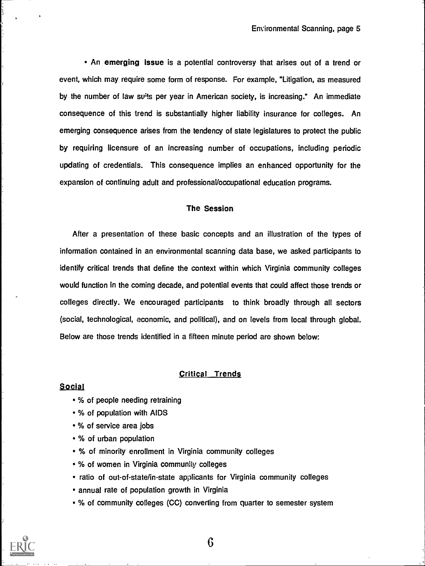An emerging issue is a potential controversy that arises out of a trend or event, which may require some form of response. For example, "Litigation, as measured by the number of law su<sup>it</sup>s per year in American society, is increasing." An immediate consequence of this trend is substantially higher liability insurance for colleges. An emerging consequence arises from the tendency of state legislatures to protect the public by requiring licensure of an increasing number of occupations, including periodic updating of credentials. This consequence implies an enhanced opportunity for the expansion of continuing adult and professional/occupational education programs.

### The Session

After a presentation of these basic concepts and an illustration of the types of information contained in an environmental scanning data base, we asked participants to identify critical trends that define the context within which Virginia community colleges would function in the coming decade, and potential events that could affect those trends or colleges directly. We encouraged participants to think broadly through all sectors (social, technological, economic, and political), and on levels from local through global. Below are those trends identified in a fifteen minute period are shown below:

### Critical Trends

### Social

- % of people needing retraining
- % of population with AIDS
- % of service area jobs
- % of urban population
- % of minority enrollment in Virginia community colleges
- % of women in Virginia community colleges
- ratio of out-of-state/in-state applicants for Virginia community colleges
- annual rate of population growth in Virginia
- % of community colleges (CC) converting from quarter to semester system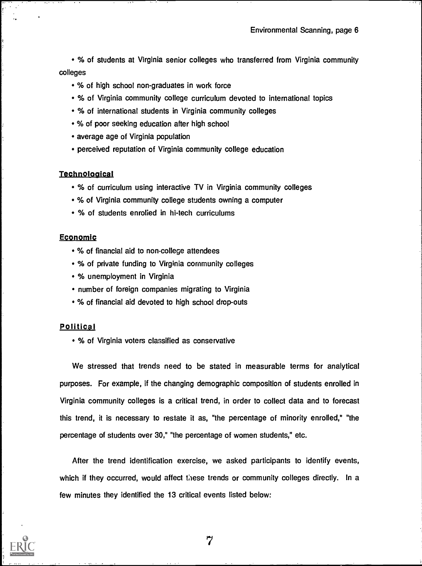% of students at Virginia senior colleges who transferred from Virginia community colleges

- % of high school non-graduates in work force
- % of Virginia community college curriculum devoted to international topics
- % of international students in Virginia community colleges
- % of poor seeking education after high school
- average age of Virginia population
- perceived reputation of Virginia community college education

### **Technological**

- % of curriculum using interactive TV in Virginia community colleges
- % of Virginia community college students owning a computer
- % of students enrolled in hi-tech curriculums

### Economic

- % of financial aid to non-college attendees
- % of private funding to Virginia community colleges
- % unemployment in Virginia
- number of foreign companies migrating to Virginia
- % of financial aid devoted to high school drop-outs

### **Political**

% of Virginia voters classified as conservative

We stressed that trends need to be stated in measurable terms for analytical purposes. For example, if the changing demographic composition of students enrolled in Virginia community colleges is a critical trend, in order to collect data and to forecast this trend, it is necessary to restate it as, "the percentage of minority enrolled," "the percentage of students over 30," "the percentage of women students," etc.

After the trend identification exercise, we asked participants to identify events, which if they occurred, would affect these trends or community colleges directly. In a few minutes they identified the 13 critical events listed below: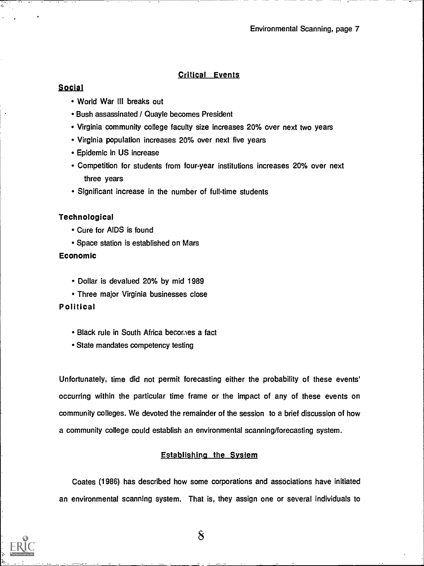### Critical Events

## Social

- World War III breaks out
- Bush assassinated / Quayle becomes President
- Virginia community college faculty size increases 20% over next two years
- Virginia population increases 20% over next five years
- Epidemic in US increase
- Competition for students from four-year institutions increases 20% over next three years
- Significant increase in the number of full-time students

### Technological

- Cure for AIDS is found
- Space station is established on Mars

### Economic

- Dollar is devalued 20% by mid 1989
- Three major Virginia businesses close

### Political

- Black rule in South Africa becomes a fact
- State mandates competency testing

Unfortunately, time did not permit forecasting either the probability of these events' occurring within the particular time frame or the impact of any of these events on community colleges. We devoted the remainder of the session to a brief discussion of how a community college could establish an environmental scanning/forecasting system.

### Establishina the System

Coates (1986) has described how some corporations and associations have initiated an environmental scanning system. That is, they assign one or several individuals to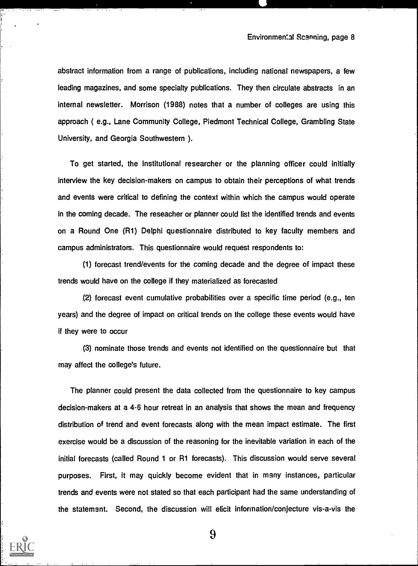abstract information from a range of publications, including national newspapers, a few leading magazines, and some specialty publications. They then circulate abstracts in an internal newsletter. Morrison (1988) notes that a number of colleges are using this approach ( e.g., Lane Community College, Piedmont Technical College, Grambling State University, and Georgia Southwestern ).

To get started, the institutional researcher or the planning officer could initially interview the key decision-makers on campus to obtain their perceptions of what trends and events were critical to defining the context within which the campus would operate in the coming decade. The reseacher or planner could list the identified trends and events on a Round One (R1) Delphi questionnaire distributed to key faculty members and campus administrators. This questionnaire would request respondents to:

(1) forecast trend/events for the coming decade and the degree of impact these trends would have on the college if they materialized as forecasted

(2) forecast event cumulative probabilities over a specific time period (e.g., ten years) and the degree of impact on critical trends on the college these events would have if they were to occur

(3) nominate those trends and events not identified on the questionnaire but that may affect the college's future.

The planner could present the data collected from the questionnaire to key campus decision-makers at a 4-6 hour retreat in an analysis that shows the mean and frequency distribution of trend and event forecasts along with the mean impact estimate. The first exercise would be a discussion of the reasoning for the inevitable variation in each of the initial forecasts (called Round 1 or R1 forecasts). This discussion would serve several purposes. First, it may quickly become evident that in many instances, particular trends and events were not stated so that each participant had the same understanding of the statement. Second, the discussion will elicit information /conjecture vis-a-vis the

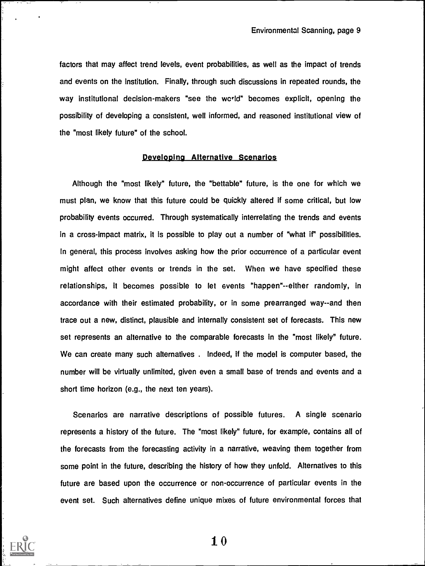factors that may affect trend levels, event probabilities, as well as the impact of trends and events on the institution. Finally, through such discussions in repeated rounds, the way institutional decision-makers "see the world" becomes explicit, opening the possibility of developing a consistent, well informed, and reasoned institutional view of the "most likely future" of the school.

### Developing Alternative Scenarios

Although the "most likely" future, the "bettable" future, is the one for which we must plan, we know that this future could be quickly altered if some critical, but low probability events occurred. Through systematically interrelating the trends and events in a cross-impact matrix, it is possible to play out a number of "what if" possibilities. In general, this process involves asking how the prior occurrence of a particular event might affect other events or trends in the set. When we have specified these relationships, it becomes possible to let events "happen"--either randomly, in accordance with their estimated probability, or in some prearranged way--and then trace out a new, distinct, plausible and internally consistent set of forecasts. This new set represents an alternative to the comparable forecasts in the "most likely" future. We can create many such alternatives . Indeed, if the model is computer based, the number will be virtually unlimited, given even a small base of trends and events and a short time horizon (e.g., the next ten years).

Scenarios are narrative descriptions of possible futures. A single scenario represents a history of the future. The "most likely" future, for example, contains all of the forecasts from the forecasting activity in a narrative, weaving them together from some point in the future, describing the history of how they unfold. Alternatives to this future are based upon the occurrence or non-occurrence of particular events in the event set. Such alternatives define unique mixes of future environmental forces that

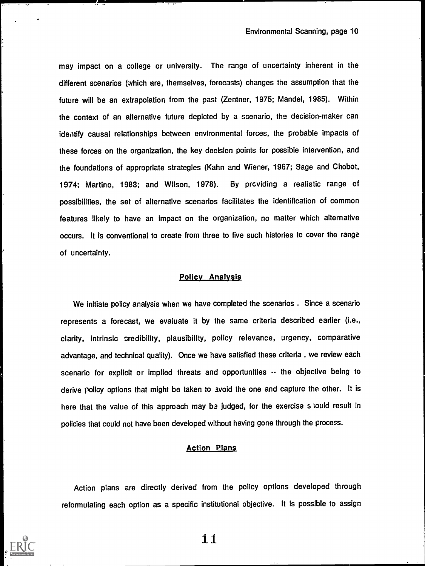may impact on a college or university. The range of uncertainty inherent in the different scenarios (which are, themselves, forecasts) changes the assumption that the future will be an extrapolation from the past (Zentner, 1975; Mandel, 1985). Within the context of an alternative future depicted by a scenario, the decision-maker can identify causal relationships between environmental forces, the probable impacts of these forces on the organization, the key decision points for possible intervention, and the foundations of appropriate strategies (Kahn and Wiener, 1967; Sage and Chobot, 1974; Martino, 1983; and Wilson, 1978). By prcviding a realistic range of possibilities, the set of alternative scenarios facilitates the identification of common features likely to have an impact on the organization, no matter which alternative occurs. it is conventional to create from three to five such histories to cover the range of uncertainty.

### Policy Analysis

We initiate policy analysis when we have completed the scenarios . Since a scenario represents a forecast, we evaluate it by the same criteria described earlier (i.e., clarity, intrinsic credibility, plausibility, policy relevance, urgency, comparative advantage, and technical quality). Once we have satisfied these criteria , we review each scenario for explicit or implied threats and opportunities -- the objective being to derive policy options that might be taken to avoid the one and capture the other. It is here that the value of this approach may be judged, for the exercise slould result in policies that could not have been developed without having gone through the process.

### Action Plans

Action plans are directly derived from the policy options developed through reformulating each option as a specific institutional objective. It is possible to assign

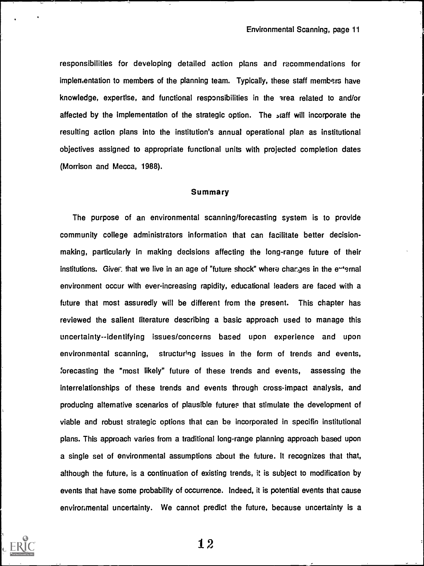responsibilities for developing detailed action plans and recommendations for implementation to members of the planning team. Typically, these staff members have knowledge, expertise, and functional responsibilities in the area related to and/or affected by the implementation of the strategic option. The staff will incorporate the resulting action plans into the institution's annual operational plan as institutional objectives assigned to appropriate functional units with projected completion dates (Morrison and Mecca, 1988).

### Summary

The purpose of an environmental scanning/forecasting system is to provide community college administrators information that can facilitate better decisionmaking, particularly in making decisions affecting the long-range future of their institutions. Give fthat we live in an age of "future shock" where changes in the e-ennal environment occur with ever-increasing rapidity, educational leaders are faced with a future that most assuredly will be different from the present. This chapter has reviewed the salient literature describing a basic approach used to manage this uncertainty--identifying issues/concerns based upon experience and upon environmental scanning, structuring issues in the form of trends and events, Forecasting the "most likely" future of these trends and events, assessing the interrelationships of these trends and events through cross-impact analysis, and producing alternative scenarios of plausible futures that stimulate the development of viable and robust strategic options that can be incorporated in specific institutional plans. This approach varies from a traditional long-range planning approach based upon a single set of environmental assumptions about the future. It recognizes that that, although the future, is a continuation of existing trends, it is subject to modification by events that have some probability of occurrence. Indeed, it is potential events that cause environmental uncertainty. We cannot predict the future, because uncertainty is a

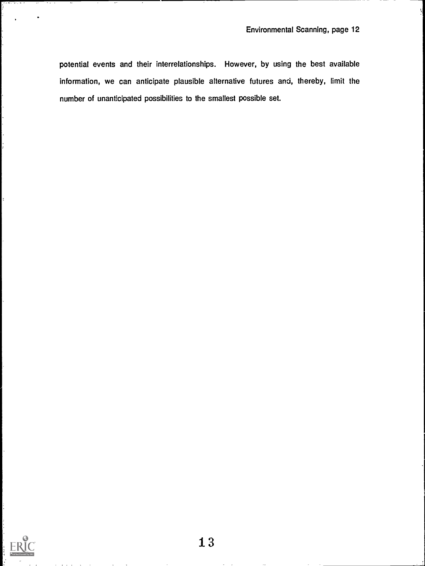potential events and their interrelationships. However, by using the best available information, we can anticipate plausible alternative futures and, thereby, limit the number of unanticipated possibilities to the smallest possible set.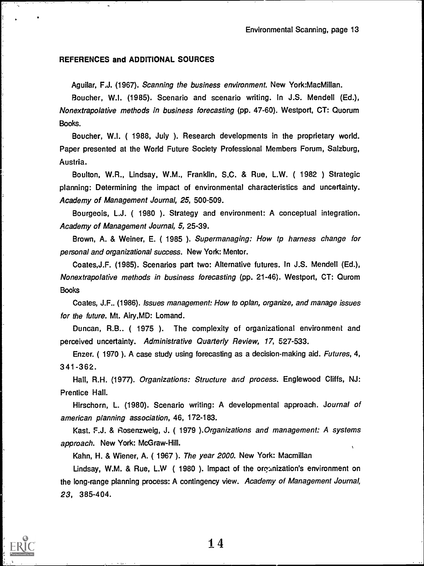### REFERENCES and ADDITIONAL SOURCES

Aguilar, F.J. (1967). Scanning the business environment. New York:MacMillan.

Boucher, W.I. (1985). Scenario and scenario writing. In J.S. Mendell (Ed.), Nonextrapolative methods in business forecasting (pp. 47-60). Westport, CT: Quorum Books.

Boucher, W.I. ( 1988, July ). Research developments in the proprietary world. Paper presented at the World Future Society Professional Members Forum, Salzburg, Austria.

Boulton, W.R., Lindsay, W.M., Franklin, S.C. & Rue, L.W. ( 1982 ) Strategic planning: Determining the impact of environmental characteristics and uncertainty. Academy of Management Journal, 25, 500-509.

Bourgeois, L.J. ( 1980 ). Strategy and environment: A conceptual integration. Academy of Management Journal, 5, 25-39.

Brown, A. & Weiner, E. ( 1985 ). Supermanaging: How tp harness change for personal and organizational success. New York: Mentor.

Coates,J.F. (1985). Scenarios part two: Alternative futures. In J.S. Mendell (Ed.), Nonextrapolative methods in business forecasting (pp. 21-46). Westport, CT: Qurom **Books** 

Coates, J.F.. (1986). Issues management: How to oplan, organize, and manage issues for the future. Mt. Airy,MD: Lomand.

Duncan, R.B.. ( 1975 ). The complexity of organizational environment and perceived uncertainty. Administrative Quarterly Review, 17, 527-533.

Enzer. ( 1970 ). A case study using forecasting as a decision-making aid. Futures, 4, 341 -362.

Hall, R.H. (1977). Organizations: Structure and process. Englewood Cliffs, NJ: Prentice Hall.

Hirschorn, L. (1980). Scenario writing: A developmental approach. Journal of american planning association, 46, 172-183.

Kast. F.J. & Rosenzweig, J. ( 1979 ).Organizations and management: A systems approach. New York: McGraw-Hill.

Kahn, H. & Wiener, A. ( 1967 ). The year 2000. New York: Macmillan

Lindsay, W.M. & Rue, L.W (1980). Impact of the organization's environment on the long-range planning process: A contingency view. Academy of Management Journal, 23, 385-404.